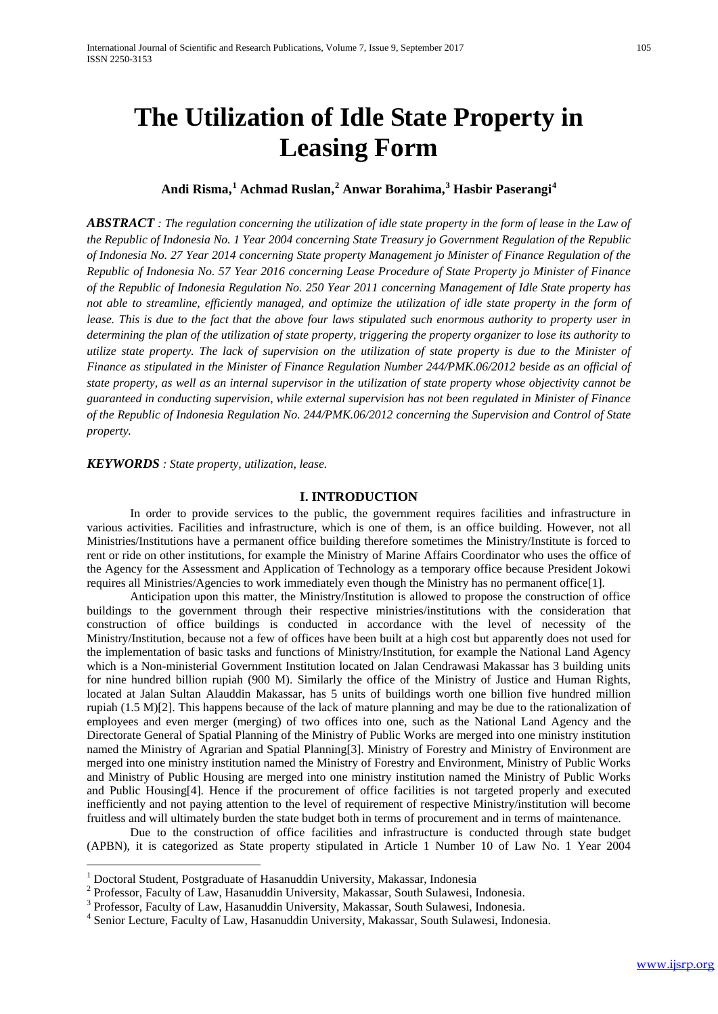# **The Utilization of Idle State Property in Leasing Form**

# **Andi Risma, [1](#page-0-0) Achmad Ruslan, [2](#page-0-1) Anwar Borahima, [3](#page-0-2) Hasbir Paserangi[4](#page-0-3)**

*ABSTRACT : The regulation concerning the utilization of idle state property in the form of lease in the Law of the Republic of Indonesia No. 1 Year 2004 concerning State Treasury jo Government Regulation of the Republic of Indonesia No. 27 Year 2014 concerning State property Management jo Minister of Finance Regulation of the Republic of Indonesia No. 57 Year 2016 concerning Lease Procedure of State Property jo Minister of Finance of the Republic of Indonesia Regulation No. 250 Year 2011 concerning Management of Idle State property has not able to streamline, efficiently managed, and optimize the utilization of idle state property in the form of lease. This is due to the fact that the above four laws stipulated such enormous authority to property user in determining the plan of the utilization of state property, triggering the property organizer to lose its authority to utilize state property. The lack of supervision on the utilization of state property is due to the Minister of Finance as stipulated in the Minister of Finance Regulation Number 244/PMK.06/2012 beside as an official of state property, as well as an internal supervisor in the utilization of state property whose objectivity cannot be guaranteed in conducting supervision, while external supervision has not been regulated in Minister of Finance of the Republic of Indonesia Regulation No. 244/PMK.06/2012 concerning the Supervision and Control of State property.*

*KEYWORDS : State property, utilization, lease.*

#### **I. INTRODUCTION**

In order to provide services to the public, the government requires facilities and infrastructure in various activities. Facilities and infrastructure, which is one of them, is an office building. However, not all Ministries/Institutions have a permanent office building therefore sometimes the Ministry/Institute is forced to rent or ride on other institutions, for example the Ministry of Marine Affairs Coordinator who uses the office of the Agency for the Assessment and Application of Technology as a temporary office because President Jokowi requires all Ministries/Agencies to work immediately even though the Ministry has no permanent office[1].

Anticipation upon this matter, the Ministry/Institution is allowed to propose the construction of office buildings to the government through their respective ministries/institutions with the consideration that construction of office buildings is conducted in accordance with the level of necessity of the Ministry/Institution, because not a few of offices have been built at a high cost but apparently does not used for the implementation of basic tasks and functions of Ministry/Institution, for example the National Land Agency which is a Non-ministerial Government Institution located on Jalan Cendrawasi Makassar has 3 building units for nine hundred billion rupiah (900 M). Similarly the office of the Ministry of Justice and Human Rights, located at Jalan Sultan Alauddin Makassar, has 5 units of buildings worth one billion five hundred million rupiah (1.5 M)[2]. This happens because of the lack of mature planning and may be due to the rationalization of employees and even merger (merging) of two offices into one, such as the National Land Agency and the Directorate General of Spatial Planning of the Ministry of Public Works are merged into one ministry institution named the Ministry of Agrarian and Spatial Planning[3]. Ministry of Forestry and Ministry of Environment are merged into one ministry institution named the Ministry of Forestry and Environment, Ministry of Public Works and Ministry of Public Housing are merged into one ministry institution named the Ministry of Public Works and Public Housing[4]. Hence if the procurement of office facilities is not targeted properly and executed inefficiently and not paying attention to the level of requirement of respective Ministry/institution will become fruitless and will ultimately burden the state budget both in terms of procurement and in terms of maintenance.

Due to the construction of office facilities and infrastructure is conducted through state budget (APBN), it is categorized as State property stipulated in Article 1 Number 10 of Law No. 1 Year 2004

<span id="page-0-0"></span><sup>&</sup>lt;sup>1</sup> Doctoral Student, Postgraduate of Hasanuddin University, Makassar, Indonesia  $^{2}$  Professor, Faculty of Law, Hasanuddin University, Makassar, South Sulawesi, Indonesia.

<span id="page-0-2"></span><span id="page-0-1"></span> $^3$  Professor, Faculty of Law, Hasanuddin University, Makassar, South Sulawesi, Indonesia.<br> $^4$  Senior Lecture, Faculty of Law, Hasanuddin University, Makassar, South Sulawesi, Indonesia.

<span id="page-0-3"></span>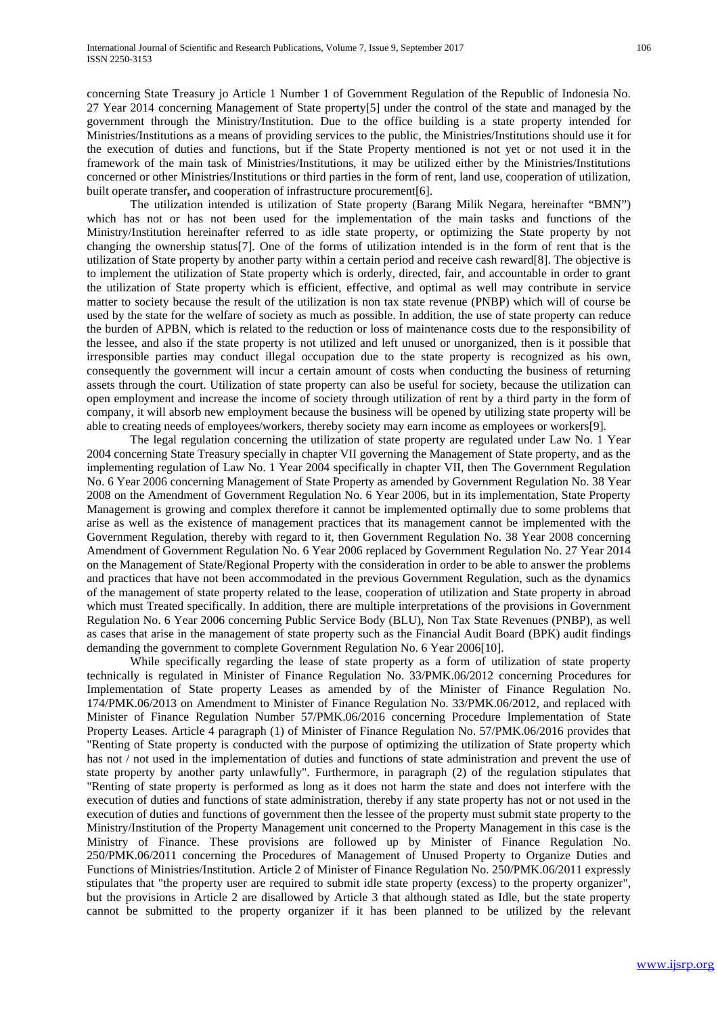concerning State Treasury jo Article 1 Number 1 of Government Regulation of the Republic of Indonesia No. 27 Year 2014 concerning Management of State property[5] under the control of the state and managed by the government through the Ministry/Institution. Due to the office building is a state property intended for Ministries/Institutions as a means of providing services to the public, the Ministries/Institutions should use it for the execution of duties and functions, but if the State Property mentioned is not yet or not used it in the framework of the main task of Ministries/Institutions, it may be utilized either by the Ministries/Institutions concerned or other Ministries/Institutions or third parties in the form of rent, land use, cooperation of utilization, built operate transfer**,** and cooperation of infrastructure procurement[6].

The utilization intended is utilization of State property (Barang Milik Negara, hereinafter "BMN") which has not or has not been used for the implementation of the main tasks and functions of the Ministry/Institution hereinafter referred to as idle state property, or optimizing the State property by not changing the ownership status[7]. One of the forms of utilization intended is in the form of rent that is the utilization of State property by another party within a certain period and receive cash reward[8]. The objective is to implement the utilization of State property which is orderly, directed, fair, and accountable in order to grant the utilization of State property which is efficient, effective, and optimal as well may contribute in service matter to society because the result of the utilization is non tax state revenue (PNBP) which will of course be used by the state for the welfare of society as much as possible. In addition, the use of state property can reduce the burden of APBN, which is related to the reduction or loss of maintenance costs due to the responsibility of the lessee, and also if the state property is not utilized and left unused or unorganized, then is it possible that irresponsible parties may conduct illegal occupation due to the state property is recognized as his own, consequently the government will incur a certain amount of costs when conducting the business of returning assets through the court. Utilization of state property can also be useful for society, because the utilization can open employment and increase the income of society through utilization of rent by a third party in the form of company, it will absorb new employment because the business will be opened by utilizing state property will be able to creating needs of employees/workers, thereby society may earn income as employees or workers[9].

The legal regulation concerning the utilization of state property are regulated under Law No. 1 Year 2004 concerning State Treasury specially in chapter VII governing the Management of State property, and as the implementing regulation of Law No. 1 Year 2004 specifically in chapter VII, then The Government Regulation No. 6 Year 2006 concerning Management of State Property as amended by Government Regulation No. 38 Year 2008 on the Amendment of Government Regulation No. 6 Year 2006, but in its implementation, State Property Management is growing and complex therefore it cannot be implemented optimally due to some problems that arise as well as the existence of management practices that its management cannot be implemented with the Government Regulation, thereby with regard to it, then Government Regulation No. 38 Year 2008 concerning Amendment of Government Regulation No. 6 Year 2006 replaced by Government Regulation No. 27 Year 2014 on the Management of State/Regional Property with the consideration in order to be able to answer the problems and practices that have not been accommodated in the previous Government Regulation, such as the dynamics of the management of state property related to the lease, cooperation of utilization and State property in abroad which must Treated specifically. In addition, there are multiple interpretations of the provisions in Government Regulation No. 6 Year 2006 concerning Public Service Body (BLU), Non Tax State Revenues (PNBP), as well as cases that arise in the management of state property such as the Financial Audit Board (BPK) audit findings demanding the government to complete Government Regulation No. 6 Year 2006[10].

While specifically regarding the lease of state property as a form of utilization of state property technically is regulated in Minister of Finance Regulation No. 33/PMK.06/2012 concerning Procedures for Implementation of State property Leases as amended by of the Minister of Finance Regulation No. 174/PMK.06/2013 on Amendment to Minister of Finance Regulation No. 33/PMK.06/2012, and replaced with Minister of Finance Regulation Number 57/PMK.06/2016 concerning Procedure Implementation of State Property Leases. Article 4 paragraph (1) of Minister of Finance Regulation No. 57/PMK.06/2016 provides that "Renting of State property is conducted with the purpose of optimizing the utilization of State property which has not / not used in the implementation of duties and functions of state administration and prevent the use of state property by another party unlawfully". Furthermore, in paragraph (2) of the regulation stipulates that "Renting of state property is performed as long as it does not harm the state and does not interfere with the execution of duties and functions of state administration, thereby if any state property has not or not used in the execution of duties and functions of government then the lessee of the property must submit state property to the Ministry/Institution of the Property Management unit concerned to the Property Management in this case is the Ministry of Finance. These provisions are followed up by Minister of Finance Regulation No. 250/PMK.06/2011 concerning the Procedures of Management of Unused Property to Organize Duties and Functions of Ministries/Institution. Article 2 of Minister of Finance Regulation No. 250/PMK.06/2011 expressly stipulates that "the property user are required to submit idle state property (excess) to the property organizer", but the provisions in Article 2 are disallowed by Article 3 that although stated as Idle, but the state property cannot be submitted to the property organizer if it has been planned to be utilized by the relevant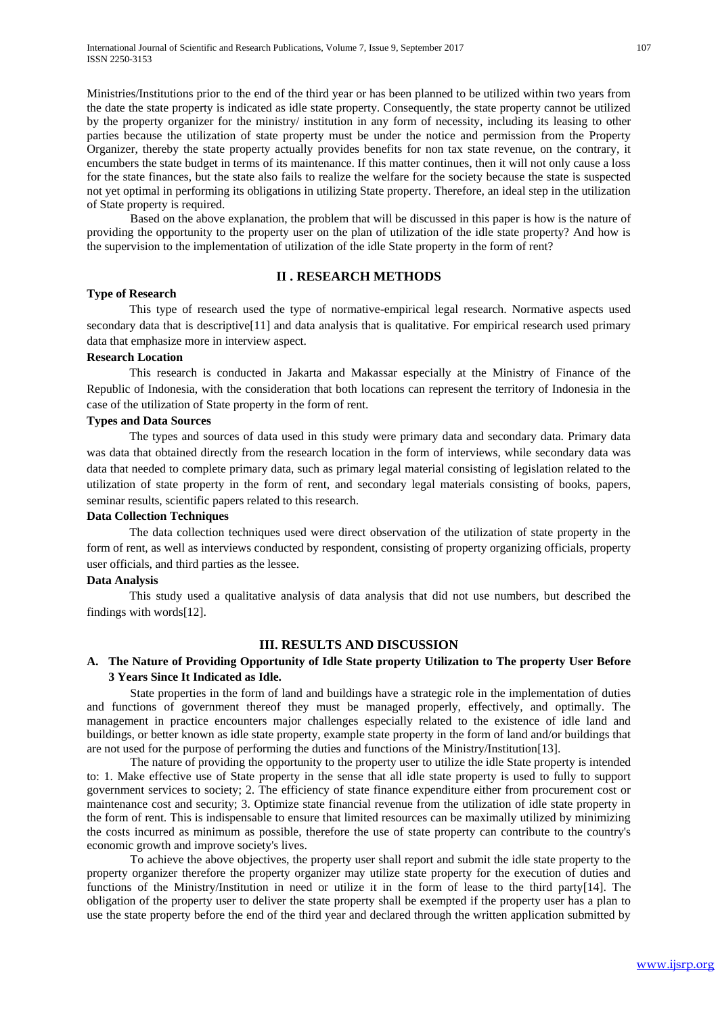Ministries/Institutions prior to the end of the third year or has been planned to be utilized within two years from the date the state property is indicated as idle state property. Consequently, the state property cannot be utilized by the property organizer for the ministry/ institution in any form of necessity, including its leasing to other parties because the utilization of state property must be under the notice and permission from the Property Organizer, thereby the state property actually provides benefits for non tax state revenue, on the contrary, it encumbers the state budget in terms of its maintenance. If this matter continues, then it will not only cause a loss for the state finances, but the state also fails to realize the welfare for the society because the state is suspected not yet optimal in performing its obligations in utilizing State property. Therefore, an ideal step in the utilization of State property is required.

Based on the above explanation, the problem that will be discussed in this paper is how is the nature of providing the opportunity to the property user on the plan of utilization of the idle state property? And how is the supervision to the implementation of utilization of the idle State property in the form of rent?

#### **II . RESEARCH METHODS**

#### **Type of Research**

This type of research used the type of normative-empirical legal research. Normative aspects used secondary data that is descriptive<sup>[11]</sup> and data analysis that is qualitative. For empirical research used primary data that emphasize more in interview aspect.

#### **Research Location**

This research is conducted in Jakarta and Makassar especially at the Ministry of Finance of the Republic of Indonesia, with the consideration that both locations can represent the territory of Indonesia in the case of the utilization of State property in the form of rent.

#### **Types and Data Sources**

The types and sources of data used in this study were primary data and secondary data. Primary data was data that obtained directly from the research location in the form of interviews, while secondary data was data that needed to complete primary data, such as primary legal material consisting of legislation related to the utilization of state property in the form of rent, and secondary legal materials consisting of books, papers, seminar results, scientific papers related to this research.

#### **Data Collection Techniques**

The data collection techniques used were direct observation of the utilization of state property in the form of rent, as well as interviews conducted by respondent, consisting of property organizing officials, property user officials, and third parties as the lessee.

#### **Data Analysis**

This study used a qualitative analysis of data analysis that did not use numbers, but described the findings with words[12].

#### **III. RESULTS AND DISCUSSION**

# **A. The Nature of Providing Opportunity of Idle State property Utilization to The property User Before 3 Years Since It Indicated as Idle.**

State properties in the form of land and buildings have a strategic role in the implementation of duties and functions of government thereof they must be managed properly, effectively, and optimally. The management in practice encounters major challenges especially related to the existence of idle land and buildings, or better known as idle state property, example state property in the form of land and/or buildings that are not used for the purpose of performing the duties and functions of the Ministry/Institution[13].

The nature of providing the opportunity to the property user to utilize the idle State property is intended to: 1. Make effective use of State property in the sense that all idle state property is used to fully to support government services to society; 2. The efficiency of state finance expenditure either from procurement cost or maintenance cost and security; 3. Optimize state financial revenue from the utilization of idle state property in the form of rent. This is indispensable to ensure that limited resources can be maximally utilized by minimizing the costs incurred as minimum as possible, therefore the use of state property can contribute to the country's economic growth and improve society's lives.

To achieve the above objectives, the property user shall report and submit the idle state property to the property organizer therefore the property organizer may utilize state property for the execution of duties and functions of the Ministry/Institution in need or utilize it in the form of lease to the third party[14]. The obligation of the property user to deliver the state property shall be exempted if the property user has a plan to use the state property before the end of the third year and declared through the written application submitted by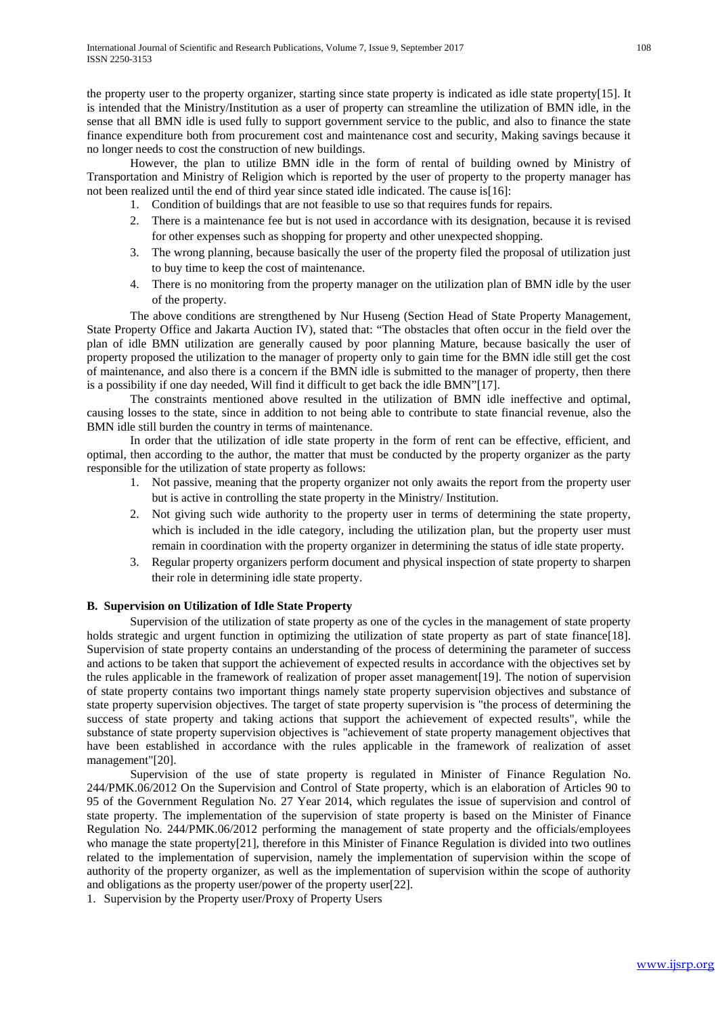the property user to the property organizer, starting since state property is indicated as idle state property[15]. It is intended that the Ministry/Institution as a user of property can streamline the utilization of BMN idle, in the sense that all BMN idle is used fully to support government service to the public, and also to finance the state finance expenditure both from procurement cost and maintenance cost and security, Making savings because it no longer needs to cost the construction of new buildings.

However, the plan to utilize BMN idle in the form of rental of building owned by Ministry of Transportation and Ministry of Religion which is reported by the user of property to the property manager has not been realized until the end of third year since stated idle indicated. The cause is[16]:

- 1. Condition of buildings that are not feasible to use so that requires funds for repairs.
- 2. There is a maintenance fee but is not used in accordance with its designation, because it is revised for other expenses such as shopping for property and other unexpected shopping.
- 3. The wrong planning, because basically the user of the property filed the proposal of utilization just to buy time to keep the cost of maintenance.
- 4. There is no monitoring from the property manager on the utilization plan of BMN idle by the user of the property.

The above conditions are strengthened by Nur Huseng (Section Head of State Property Management, State Property Office and Jakarta Auction IV), stated that: "The obstacles that often occur in the field over the plan of idle BMN utilization are generally caused by poor planning Mature, because basically the user of property proposed the utilization to the manager of property only to gain time for the BMN idle still get the cost of maintenance, and also there is a concern if the BMN idle is submitted to the manager of property, then there is a possibility if one day needed, Will find it difficult to get back the idle BMN"[17].

The constraints mentioned above resulted in the utilization of BMN idle ineffective and optimal, causing losses to the state, since in addition to not being able to contribute to state financial revenue, also the BMN idle still burden the country in terms of maintenance.

In order that the utilization of idle state property in the form of rent can be effective, efficient, and optimal, then according to the author, the matter that must be conducted by the property organizer as the party responsible for the utilization of state property as follows:

- 1. Not passive, meaning that the property organizer not only awaits the report from the property user but is active in controlling the state property in the Ministry/ Institution.
- 2. Not giving such wide authority to the property user in terms of determining the state property, which is included in the idle category, including the utilization plan, but the property user must remain in coordination with the property organizer in determining the status of idle state property.
- 3. Regular property organizers perform document and physical inspection of state property to sharpen their role in determining idle state property.

# **B. Supervision on Utilization of Idle State Property**

Supervision of the utilization of state property as one of the cycles in the management of state property holds strategic and urgent function in optimizing the utilization of state property as part of state finance [18]. Supervision of state property contains an understanding of the process of determining the parameter of success and actions to be taken that support the achievement of expected results in accordance with the objectives set by the rules applicable in the framework of realization of proper asset management[19]. The notion of supervision of state property contains two important things namely state property supervision objectives and substance of state property supervision objectives. The target of state property supervision is "the process of determining the success of state property and taking actions that support the achievement of expected results", while the substance of state property supervision objectives is "achievement of state property management objectives that have been established in accordance with the rules applicable in the framework of realization of asset management"[20].

Supervision of the use of state property is regulated in Minister of Finance Regulation No. 244/PMK.06/2012 On the Supervision and Control of State property, which is an elaboration of Articles 90 to 95 of the Government Regulation No. 27 Year 2014, which regulates the issue of supervision and control of state property. The implementation of the supervision of state property is based on the Minister of Finance Regulation No. 244/PMK.06/2012 performing the management of state property and the officials/employees who manage the state property<sup>[21]</sup>, therefore in this Minister of Finance Regulation is divided into two outlines related to the implementation of supervision, namely the implementation of supervision within the scope of authority of the property organizer, as well as the implementation of supervision within the scope of authority and obligations as the property user/power of the property user[22].

1. Supervision by the Property user/Proxy of Property Users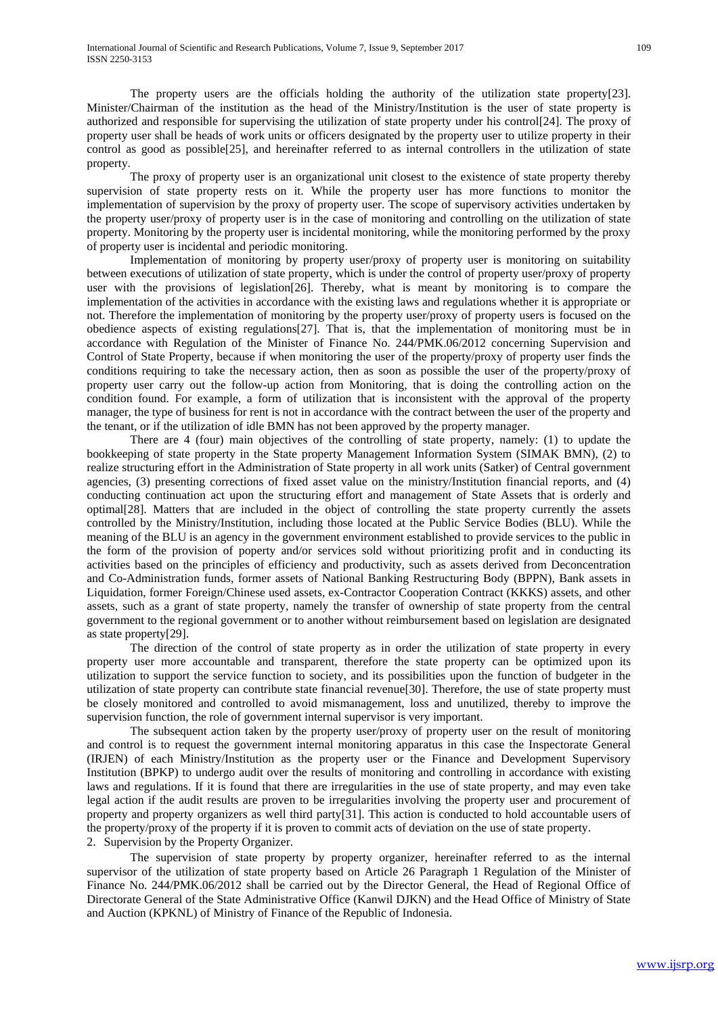The property users are the officials holding the authority of the utilization state property[23]. Minister/Chairman of the institution as the head of the Ministry/Institution is the user of state property is authorized and responsible for supervising the utilization of state property under his control[24]. The proxy of property user shall be heads of work units or officers designated by the property user to utilize property in their control as good as possible[25], and hereinafter referred to as internal controllers in the utilization of state property.

The proxy of property user is an organizational unit closest to the existence of state property thereby supervision of state property rests on it. While the property user has more functions to monitor the implementation of supervision by the proxy of property user. The scope of supervisory activities undertaken by the property user/proxy of property user is in the case of monitoring and controlling on the utilization of state property. Monitoring by the property user is incidental monitoring, while the monitoring performed by the proxy of property user is incidental and periodic monitoring.

Implementation of monitoring by property user/proxy of property user is monitoring on suitability between executions of utilization of state property, which is under the control of property user/proxy of property user with the provisions of legislation[26]. Thereby, what is meant by monitoring is to compare the implementation of the activities in accordance with the existing laws and regulations whether it is appropriate or not. Therefore the implementation of monitoring by the property user/proxy of property users is focused on the obedience aspects of existing regulations[27]. That is, that the implementation of monitoring must be in accordance with Regulation of the Minister of Finance No. 244/PMK.06/2012 concerning Supervision and Control of State Property, because if when monitoring the user of the property/proxy of property user finds the conditions requiring to take the necessary action, then as soon as possible the user of the property/proxy of property user carry out the follow-up action from Monitoring, that is doing the controlling action on the condition found. For example, a form of utilization that is inconsistent with the approval of the property manager, the type of business for rent is not in accordance with the contract between the user of the property and the tenant, or if the utilization of idle BMN has not been approved by the property manager.

There are 4 (four) main objectives of the controlling of state property, namely: (1) to update the bookkeeping of state property in the State property Management Information System (SIMAK BMN), (2) to realize structuring effort in the Administration of State property in all work units (Satker) of Central government agencies, (3) presenting corrections of fixed asset value on the ministry/Institution financial reports, and (4) conducting continuation act upon the structuring effort and management of State Assets that is orderly and optimal[28]. Matters that are included in the object of controlling the state property currently the assets controlled by the Ministry/Institution, including those located at the Public Service Bodies (BLU). While the meaning of the BLU is an agency in the government environment established to provide services to the public in the form of the provision of poperty and/or services sold without prioritizing profit and in conducting its activities based on the principles of efficiency and productivity, such as assets derived from Deconcentration and Co-Administration funds, former assets of National Banking Restructuring Body (BPPN), Bank assets in Liquidation, former Foreign/Chinese used assets, ex-Contractor Cooperation Contract (KKKS) assets, and other assets, such as a grant of state property, namely the transfer of ownership of state property from the central government to the regional government or to another without reimbursement based on legislation are designated as state property[29].

The direction of the control of state property as in order the utilization of state property in every property user more accountable and transparent, therefore the state property can be optimized upon its utilization to support the service function to society, and its possibilities upon the function of budgeter in the utilization of state property can contribute state financial revenue[30]. Therefore, the use of state property must be closely monitored and controlled to avoid mismanagement, loss and unutilized, thereby to improve the supervision function, the role of government internal supervisor is very important.

The subsequent action taken by the property user/proxy of property user on the result of monitoring and control is to request the government internal monitoring apparatus in this case the Inspectorate General (IRJEN) of each Ministry/Institution as the property user or the Finance and Development Supervisory Institution (BPKP) to undergo audit over the results of monitoring and controlling in accordance with existing laws and regulations. If it is found that there are irregularities in the use of state property, and may even take legal action if the audit results are proven to be irregularities involving the property user and procurement of property and property organizers as well third party[31]. This action is conducted to hold accountable users of the property/proxy of the property if it is proven to commit acts of deviation on the use of state property.

2. Supervision by the Property Organizer.

The supervision of state property by property organizer, hereinafter referred to as the internal supervisor of the utilization of state property based on Article 26 Paragraph 1 Regulation of the Minister of Finance No. 244/PMK.06/2012 shall be carried out by the Director General, the Head of Regional Office of Directorate General of the State Administrative Office (Kanwil DJKN) and the Head Office of Ministry of State and Auction (KPKNL) of Ministry of Finance of the Republic of Indonesia.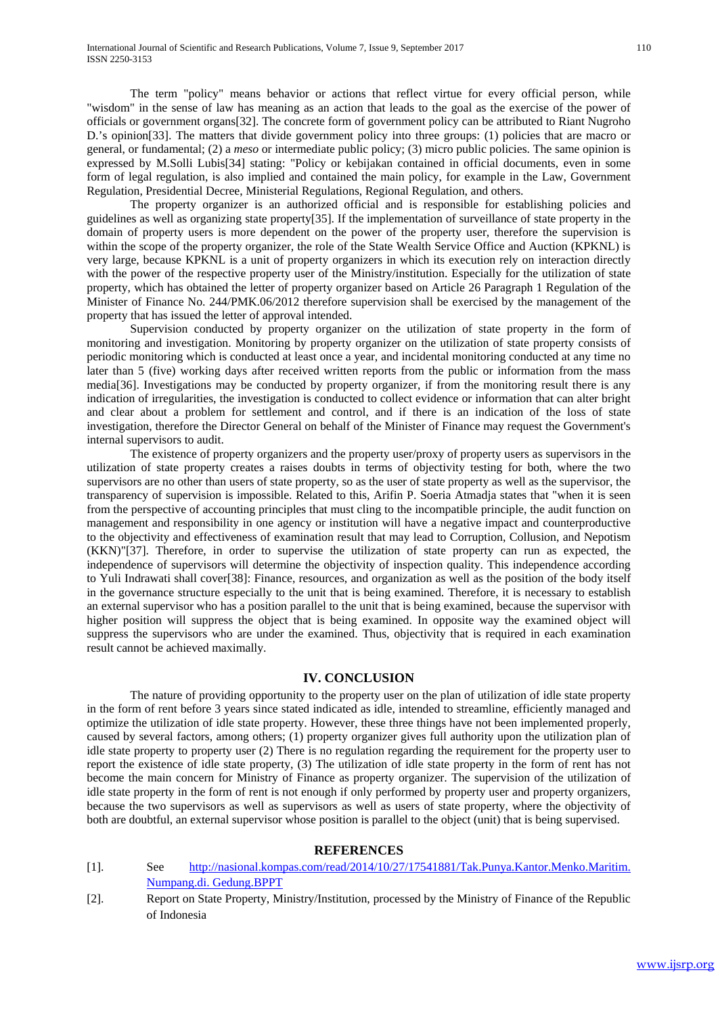The term "policy" means behavior or actions that reflect virtue for every official person, while "wisdom" in the sense of law has meaning as an action that leads to the goal as the exercise of the power of officials or government organs[32]. The concrete form of government policy can be attributed to Riant Nugroho D.'s opinion[33]. The matters that divide government policy into three groups: (1) policies that are macro or general, or fundamental; (2) a *meso* or intermediate public policy; (3) micro public policies. The same opinion is expressed by M.Solli Lubis[34] stating: "Policy or kebijakan contained in official documents, even in some form of legal regulation, is also implied and contained the main policy, for example in the Law, Government Regulation, Presidential Decree, Ministerial Regulations, Regional Regulation, and others.

The property organizer is an authorized official and is responsible for establishing policies and guidelines as well as organizing state property[35]. If the implementation of surveillance of state property in the domain of property users is more dependent on the power of the property user, therefore the supervision is within the scope of the property organizer, the role of the State Wealth Service Office and Auction (KPKNL) is very large, because KPKNL is a unit of property organizers in which its execution rely on interaction directly with the power of the respective property user of the Ministry/institution. Especially for the utilization of state property, which has obtained the letter of property organizer based on Article 26 Paragraph 1 Regulation of the Minister of Finance No. 244/PMK.06/2012 therefore supervision shall be exercised by the management of the property that has issued the letter of approval intended.

Supervision conducted by property organizer on the utilization of state property in the form of monitoring and investigation. Monitoring by property organizer on the utilization of state property consists of periodic monitoring which is conducted at least once a year, and incidental monitoring conducted at any time no later than 5 (five) working days after received written reports from the public or information from the mass media[36]. Investigations may be conducted by property organizer, if from the monitoring result there is any indication of irregularities, the investigation is conducted to collect evidence or information that can alter bright and clear about a problem for settlement and control, and if there is an indication of the loss of state investigation, therefore the Director General on behalf of the Minister of Finance may request the Government's internal supervisors to audit.

The existence of property organizers and the property user/proxy of property users as supervisors in the utilization of state property creates a raises doubts in terms of objectivity testing for both, where the two supervisors are no other than users of state property, so as the user of state property as well as the supervisor, the transparency of supervision is impossible. Related to this, Arifin P. Soeria Atmadja states that "when it is seen from the perspective of accounting principles that must cling to the incompatible principle, the audit function on management and responsibility in one agency or institution will have a negative impact and counterproductive to the objectivity and effectiveness of examination result that may lead to Corruption, Collusion, and Nepotism (KKN)"[37]. Therefore, in order to supervise the utilization of state property can run as expected, the independence of supervisors will determine the objectivity of inspection quality. This independence according to Yuli Indrawati shall cover[38]: Finance, resources, and organization as well as the position of the body itself in the governance structure especially to the unit that is being examined. Therefore, it is necessary to establish an external supervisor who has a position parallel to the unit that is being examined, because the supervisor with higher position will suppress the object that is being examined. In opposite way the examined object will suppress the supervisors who are under the examined. Thus, objectivity that is required in each examination result cannot be achieved maximally.

# **IV. CONCLUSION**

The nature of providing opportunity to the property user on the plan of utilization of idle state property in the form of rent before 3 years since stated indicated as idle, intended to streamline, efficiently managed and optimize the utilization of idle state property. However, these three things have not been implemented properly, caused by several factors, among others; (1) property organizer gives full authority upon the utilization plan of idle state property to property user (2) There is no regulation regarding the requirement for the property user to report the existence of idle state property, (3) The utilization of idle state property in the form of rent has not become the main concern for Ministry of Finance as property organizer. The supervision of the utilization of idle state property in the form of rent is not enough if only performed by property user and property organizers, because the two supervisors as well as supervisors as well as users of state property, where the objectivity of both are doubtful, an external supervisor whose position is parallel to the object (unit) that is being supervised.

# **REFERENCES**

- [1]. See [http://nasional.kompas.com/read/2014/10/27/17541881/Tak.Punya.Kantor.Menko.Maritim.](http://nasional.kompas.com/read/2014/10/27/17541881/Tak.Punya.Kantor.Menko.Maritim.%20Numpang.di.%20Gedung.BPPT)  [Numpang.di. Gedung.BPPT](http://nasional.kompas.com/read/2014/10/27/17541881/Tak.Punya.Kantor.Menko.Maritim.%20Numpang.di.%20Gedung.BPPT)
- [2]. Report on State Property, Ministry/Institution, processed by the Ministry of Finance of the Republic of Indonesia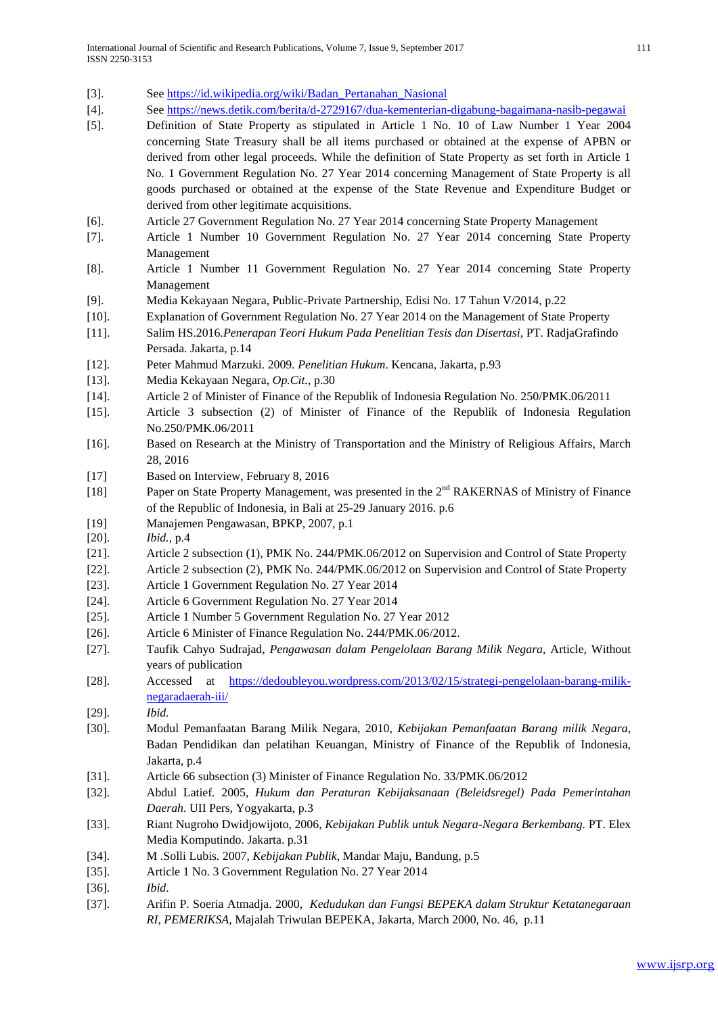- [3]. Se[e https://id.wikipedia.org/wiki/Badan\\_Pertanahan\\_Nasional](https://id.wikipedia.org/wiki/Badan_Pertanahan_Nasional)
- [4]. Se[e https://news.detik.com/berita/d-2729167/dua-kementerian-digabung-bagaimana-nasib-pegawai](https://news.detik.com/berita/d-2729167/dua-kementerian-digabung-bagaimana-nasib-pegawai)
- [5]. Definition of State Property as stipulated in Article 1 No. 10 of Law Number 1 Year 2004 concerning State Treasury shall be all items purchased or obtained at the expense of APBN or derived from other legal proceeds. While the definition of State Property as set forth in Article 1 No. 1 Government Regulation No. 27 Year 2014 concerning Management of State Property is all goods purchased or obtained at the expense of the State Revenue and Expenditure Budget or derived from other legitimate acquisitions.
- [6]. Article 27 Government Regulation No. 27 Year 2014 concerning State Property Management
- [7]. Article 1 Number 10 Government Regulation No. 27 Year 2014 concerning State Property Management
- [8]. Article 1 Number 11 Government Regulation No. 27 Year 2014 concerning State Property Management
- [9]. Media Kekayaan Negara, Public-Private Partnership, Edisi No. 17 Tahun V/2014, p.22
- [10]. Explanation of Government Regulation No. 27 Year 2014 on the Management of State Property
- [11]. Salim HS.2016*.Penerapan Teori Hukum Pada Penelitian Tesis dan Disertasi*, PT. RadjaGrafindo Persada. Jakarta, p.14

[12]. Peter Mahmud Marzuki. 2009*. Penelitian Hukum*. Kencana, Jakarta, p.93

- [13]. Media Kekayaan Negara, *Op.Cit.*, p.30
- [14]. Article 2 of Minister of Finance of the Republik of Indonesia Regulation No. 250/PMK.06/2011
- [15]. Article 3 subsection (2) of Minister of Finance of the Republik of Indonesia Regulation No.250/PMK.06/2011
- [16]. Based on Research at the Ministry of Transportation and the Ministry of Religious Affairs, March 28, 2016
- [17] Based on Interview, February 8, 2016
- [18] Paper on State Property Management, was presented in the 2<sup>nd</sup> RAKERNAS of Ministry of Finance of the Republic of Indonesia, in Bali at 25-29 January 2016. p.6
- [19] Manajemen Pengawasan, BPKP, 2007, p.1
- [20]. *Ibid.,* p.4
- [21]. Article 2 subsection (1), PMK No. 244/PMK.06/2012 on Supervision and Control of State Property
- [22]. Article 2 subsection (2), PMK No. 244/PMK.06/2012 on Supervision and Control of State Property
- [23]. Article 1 Government Regulation No. 27 Year 2014
- [24]. Article 6 Government Regulation No. 27 Year 2014
- [25]. Article 1 Number 5 Government Regulation No. 27 Year 2012
- [26]. Article 6 Minister of Finance Regulation No. 244/PMK.06/2012.
- [27]. Taufik Cahyo Sudrajad, *Pengawasan dalam Pengelolaan Barang Milik Negara*, Article, Without years of publication
- [28]. Accessed at [https://dedoubleyou.wordpress.com/2013/02/15/strategi-pengelolaan-barang-milik](https://dedoubleyou.wordpress.com/2013/02/15/strategi-pengelolaan-barang-milik-negaradaerah-iii/)[negaradaerah-iii/](https://dedoubleyou.wordpress.com/2013/02/15/strategi-pengelolaan-barang-milik-negaradaerah-iii/)
- [29]. *Ibid.*
- [30]. Modul Pemanfaatan Barang Milik Negara, 2010, *Kebijakan Pemanfaatan Barang milik Negara*, Badan Pendidikan dan pelatihan Keuangan, Ministry of Finance of the Republik of Indonesia, Jakarta, p.4
- [31]. Article 66 subsection (3) Minister of Finance Regulation No. 33/PMK.06/2012
- [32]. Abdul Latief*.* 2005, *Hukum dan Peraturan Kebijaksanaan (Beleidsregel) Pada Pemerintahan Daerah*. UII Pers, Yogyakarta, p.3
- [33]. Riant Nugroho Dwidjowijoto, 2006, *Kebijakan Publik untuk Negara-Negara Berkembang.* PT. Elex Media Komputindo. Jakarta. p.31
- [34]. M .Solli Lubis*.* 2007, *Kebijakan Publik*, Mandar Maju, Bandung, p.5
- [35]. Article 1 No. 3 Government Regulation No. 27 Year 2014
- [36]. *Ibid*.
- [37]. Arifin P. Soeria Atmadja. 2000*, Kedudukan dan Fungsi BEPEKA dalam Struktur Ketatanegaraan RI, PEMERIKSA,* Majalah Triwulan BEPEKA, Jakarta, March 2000, No. 46, p.11